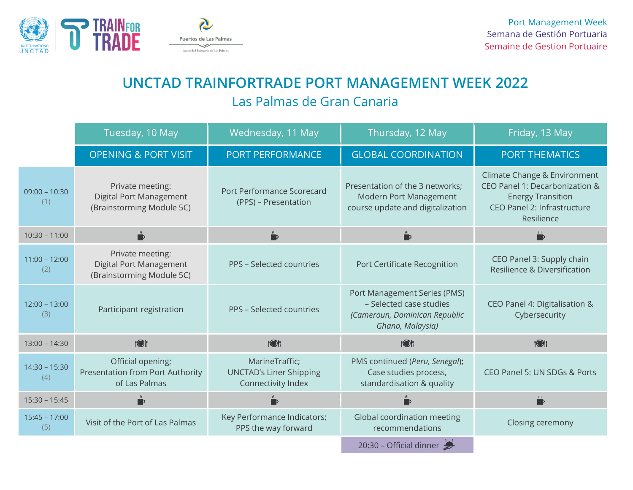

## **UNCTAD TRAINFORTRADE PORT MANAGEMENT WEEK 2022** Las Palmas de Gran Canaria

|                        | Tuesday, 10 May                                                               | Wednesday, 11 May                                                      | Thursday, 12 May                                                                                             | Friday, 13 May                                                                                                                          |
|------------------------|-------------------------------------------------------------------------------|------------------------------------------------------------------------|--------------------------------------------------------------------------------------------------------------|-----------------------------------------------------------------------------------------------------------------------------------------|
|                        | <b>OPENING &amp; PORT VISIT</b>                                               | PORT PERFORMANCE                                                       | <b>GLOBAL COORDINATION</b>                                                                                   | <b>PORT THEMATICS</b>                                                                                                                   |
| $09:00 - 10:30$<br>(1) | Private meeting:<br>Digital Port Management<br>(Brainstorming Module 5C)      | Port Performance Scorecard<br>(PPS) - Presentation                     | Presentation of the 3 networks;<br>Modern Port Management<br>course update and digitalization                | Climate Change & Environment<br>CEO Panel 1: Decarbonization &<br><b>Energy Transition</b><br>CEO Panel 2: Infrastructure<br>Resilience |
| $10:30 - 11:00$        | $\mathbf{D}$                                                                  | $\overset{\mathbf{H}}{\blacktriangleright}$                            | $\mathbf{D}$                                                                                                 | $\overline{\mathbb{D}}$                                                                                                                 |
| $11:00 - 12:00$<br>(2) | Private meeting:<br>Digital Port Management<br>(Brainstorming Module 5C)      | PPS - Selected countries                                               | Port Certificate Recognition                                                                                 | CEO Panel 3: Supply chain<br>Resilience & Diversification                                                                               |
| $12:00 - 13:00$<br>(3) | Participant registration                                                      | PPS - Selected countries                                               | Port Management Series (PMS)<br>- Selected case studies<br>(Cameroun, Dominican Republic<br>Ghana, Malaysia) | CEO Panel 4: Digitalisation &<br>Cybersecurity                                                                                          |
| $13:00 - 14:30$        | tott                                                                          | <b>1011</b>                                                            | <b>TOP</b>                                                                                                   | <b>1</b>                                                                                                                                |
| $14:30 - 15:30$<br>(4) | Official opening;<br><b>Presentation from Port Authority</b><br>of Las Palmas | MarineTraffic;<br><b>UNCTAD's Liner Shipping</b><br>Connectivity Index | PMS continued (Peru, Senegal);<br>Case studies process,<br>standardisation & quality                         | CEO Panel 5: UN SDGs & Ports                                                                                                            |
| $15:30 - 15:45$        | $\frac{1}{t_1t}$                                                              | ₿                                                                      |                                                                                                              | $\mathbf{r}$                                                                                                                            |
| $15:45 - 17:00$<br>(5) | Visit of the Port of Las Palmas                                               | Key Performance Indicators;<br>PPS the way forward                     | Global coordination meeting<br>recommendations                                                               | Closing ceremony                                                                                                                        |
|                        |                                                                               |                                                                        | 20:30 - Official dinner                                                                                      |                                                                                                                                         |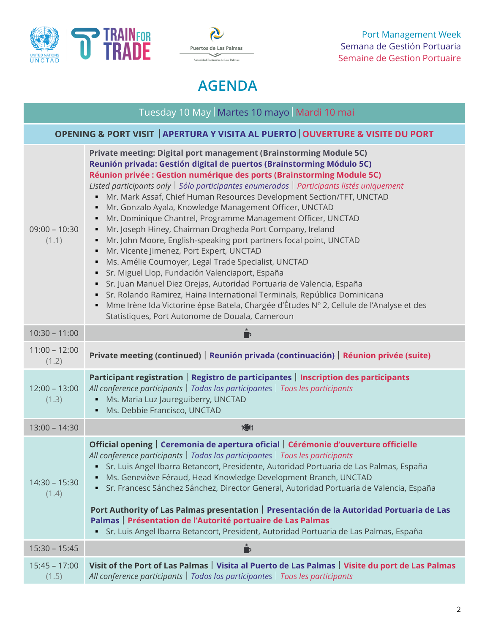



## **AGENDA**

| Tuesday 10 May   Martes 10 mayo   Mardi 10 mai                                  |                                                                                                                                                                                                                                                                                                                                                                                                                                                                                                                                                                                                                                                                                                                                                                                                                                                                                                                                                                                                                                                                                                                                             |  |
|---------------------------------------------------------------------------------|---------------------------------------------------------------------------------------------------------------------------------------------------------------------------------------------------------------------------------------------------------------------------------------------------------------------------------------------------------------------------------------------------------------------------------------------------------------------------------------------------------------------------------------------------------------------------------------------------------------------------------------------------------------------------------------------------------------------------------------------------------------------------------------------------------------------------------------------------------------------------------------------------------------------------------------------------------------------------------------------------------------------------------------------------------------------------------------------------------------------------------------------|--|
| OPENING & PORT VISIT   APERTURA Y VISITA AL PUERTO   OUVERTURE & VISITE DU PORT |                                                                                                                                                                                                                                                                                                                                                                                                                                                                                                                                                                                                                                                                                                                                                                                                                                                                                                                                                                                                                                                                                                                                             |  |
| $09:00 - 10:30$<br>(1.1)                                                        | Private meeting: Digital port management (Brainstorming Module 5C)<br>Reunión privada: Gestión digital de puertos (Brainstorming Módulo 5C)<br>Réunion privée : Gestion numérique des ports (Brainstorming Module 5C)<br>Listed participants only   Sólo participantes enumerados   Participants listés uniquement<br>Mr. Mark Assaf, Chief Human Resources Development Section/TFT, UNCTAD<br>Mr. Gonzalo Ayala, Knowledge Management Officer, UNCTAD<br>٠<br>Mr. Dominique Chantrel, Programme Management Officer, UNCTAD<br>٠<br>Mr. Joseph Hiney, Chairman Drogheda Port Company, Ireland<br>٠<br>Mr. John Moore, English-speaking port partners focal point, UNCTAD<br>٠<br>Mr. Vicente Jimenez, Port Expert, UNCTAD<br>٠<br>Ms. Amélie Cournoyer, Legal Trade Specialist, UNCTAD<br>Sr. Miguel Llop, Fundación Valenciaport, España<br>Sr. Juan Manuel Diez Orejas, Autoridad Portuaria de Valencia, España<br>Sr. Rolando Ramirez, Haina International Terminals, República Dominicana<br>Mme Irène Ida Victorine épse Batela, Chargée d'Études Nº 2, Cellule de l'Analyse et des<br>Statistiques, Port Autonome de Douala, Cameroun |  |
| $10:30 - 11:00$                                                                 | $\overline{u}$                                                                                                                                                                                                                                                                                                                                                                                                                                                                                                                                                                                                                                                                                                                                                                                                                                                                                                                                                                                                                                                                                                                              |  |
| $11:00 - 12:00$<br>(1.2)                                                        | Private meeting (continued)   Reunión privada (continuación)   Réunion privée (suite)                                                                                                                                                                                                                                                                                                                                                                                                                                                                                                                                                                                                                                                                                                                                                                                                                                                                                                                                                                                                                                                       |  |
| $12:00 - 13:00$<br>(1.3)                                                        | Participant registration   Registro de participantes   Inscription des participants<br>All conference participants   Todos los participantes   Tous les participants<br>Ms. Maria Luz Jaureguiberry, UNCTAD<br>Ms. Debbie Francisco, UNCTAD                                                                                                                                                                                                                                                                                                                                                                                                                                                                                                                                                                                                                                                                                                                                                                                                                                                                                                 |  |
| $13:00 - 14:30$                                                                 | 1③                                                                                                                                                                                                                                                                                                                                                                                                                                                                                                                                                                                                                                                                                                                                                                                                                                                                                                                                                                                                                                                                                                                                          |  |
| $14:30 - 15:30$<br>(1.4)                                                        | Official opening   Ceremonia de apertura oficial   Cérémonie d'ouverture officielle<br>All conference participants   Todos los participantes   Tous les participants<br>Sr. Luis Angel Ibarra Betancort, Presidente, Autoridad Portuaria de Las Palmas, España<br>Ms. Geneviève Féraud, Head Knowledge Development Branch, UNCTAD<br>Sr. Francesc Sánchez Sánchez, Director General, Autoridad Portuaria de Valencia, España<br>Port Authority of Las Palmas presentation   Presentación de la Autoridad Portuaria de Las<br>Palmas   Présentation de l'Autorité portuaire de Las Palmas<br>Sr. Luis Angel Ibarra Betancort, President, Autoridad Portuaria de Las Palmas, España                                                                                                                                                                                                                                                                                                                                                                                                                                                           |  |
| $15:30 - 15:45$                                                                 | - D                                                                                                                                                                                                                                                                                                                                                                                                                                                                                                                                                                                                                                                                                                                                                                                                                                                                                                                                                                                                                                                                                                                                         |  |
| $15:45 - 17:00$<br>(1.5)                                                        | Visit of the Port of Las Palmas   Visita al Puerto de Las Palmas   Visite du port de Las Palmas<br>All conference participants   Todos los participantes   Tous les participants                                                                                                                                                                                                                                                                                                                                                                                                                                                                                                                                                                                                                                                                                                                                                                                                                                                                                                                                                            |  |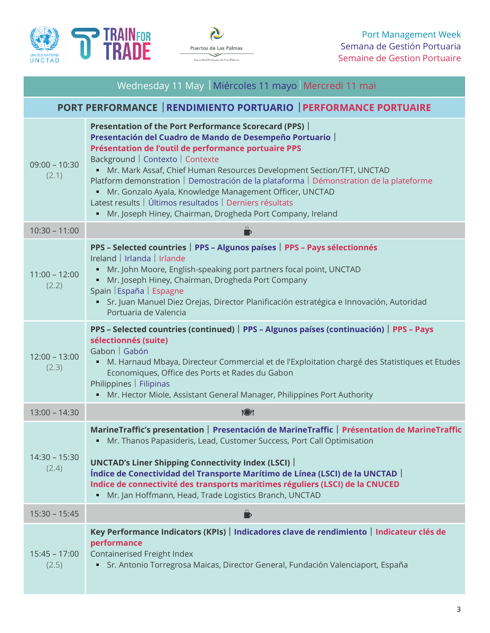



| Wednesday 11 May   Miércoles 11 mayo   Mercredi 11 mai           |                                                                                                                                                                                                                                                                                                                                                                                                                                                                                                                                                                            |  |
|------------------------------------------------------------------|----------------------------------------------------------------------------------------------------------------------------------------------------------------------------------------------------------------------------------------------------------------------------------------------------------------------------------------------------------------------------------------------------------------------------------------------------------------------------------------------------------------------------------------------------------------------------|--|
| PORT PERFORMANCE   RENDIMIENTO PORTUARIO   PERFORMANCE PORTUAIRE |                                                                                                                                                                                                                                                                                                                                                                                                                                                                                                                                                                            |  |
| $09:00 - 10:30$<br>(2.1)                                         | Presentation of the Port Performance Scorecard (PPS)<br>Presentación del Cuadro de Mando de Desempeño Portuario<br>Présentation de l'outil de performance portuaire PPS<br>Background   Contexto   Contexte<br>" Mr. Mark Assaf, Chief Human Resources Development Section/TFT, UNCTAD<br>Platform demonstration   Demostración de la plataforma   Démonstration de la plateforme<br>· Mr. Gonzalo Ayala, Knowledge Management Officer, UNCTAD<br>Latest results   Últimos resultados   Derniers résultats<br>• Mr. Joseph Hiney, Chairman, Drogheda Port Company, Ireland |  |
| $10:30 - 11:00$                                                  | $\mathbf{D}$                                                                                                                                                                                                                                                                                                                                                                                                                                                                                                                                                               |  |
| $11:00 - 12:00$<br>(2.2)                                         | PPS - Selected countries   PPS - Algunos países   PPS - Pays sélectionnés<br>Ireland   Irlanda   Irlande<br>Mr. John Moore, English-speaking port partners focal point, UNCTAD<br>Mr. Joseph Hiney, Chairman, Drogheda Port Company<br>Spain   España   Espagne<br>Sr. Juan Manuel Diez Orejas, Director Planificación estratégica e Innovación, Autoridad<br>Portuaria de Valencia                                                                                                                                                                                        |  |
| $12:00 - 13:00$<br>(2.3)                                         | PPS - Selected countries (continued)   PPS - Algunos países (continuación)   PPS - Pays<br>sélectionnés (suite)<br>Gabon   Gabón<br>M. Harnaud Mbaya, Directeur Commercial et de l'Exploitation chargé des Statistiques et Etudes<br>٠<br>Economiques, Office des Ports et Rades du Gabon<br>Philippines   Filipinas<br>Mr. Hector Miole, Assistant General Manager, Philippines Port Authority                                                                                                                                                                            |  |
| $13:00 - 14:30$                                                  | 1③!                                                                                                                                                                                                                                                                                                                                                                                                                                                                                                                                                                        |  |
| $14:30 - 15:30$<br>(2.4)                                         | MarineTraffic's presentation   Presentación de MarineTraffic   Présentation de MarineTraffic<br>Mr. Thanos Papasideris, Lead, Customer Success, Port Call Optimisation<br><b>UNCTAD's Liner Shipping Connectivity Index (LSCI)</b><br>Índice de Conectividad del Transporte Marítimo de Línea (LSCI) de la UNCTAD<br>Indice de connectivité des transports maritimes réguliers (LSCI) de la CNUCED<br>Mr. Jan Hoffmann, Head, Trade Logistics Branch, UNCTAD<br>٠                                                                                                          |  |
| $15:30 - 15:45$                                                  | $\mathbf{p}$                                                                                                                                                                                                                                                                                                                                                                                                                                                                                                                                                               |  |
| $15:45 - 17:00$<br>(2.5)                                         | Key Performance Indicators (KPIs)   Indicadores clave de rendimiento   Indicateur clés de<br>performance<br>Containerised Freight Index<br>Sr. Antonio Torregrosa Maicas, Director General, Fundación Valenciaport, España<br>٠,                                                                                                                                                                                                                                                                                                                                           |  |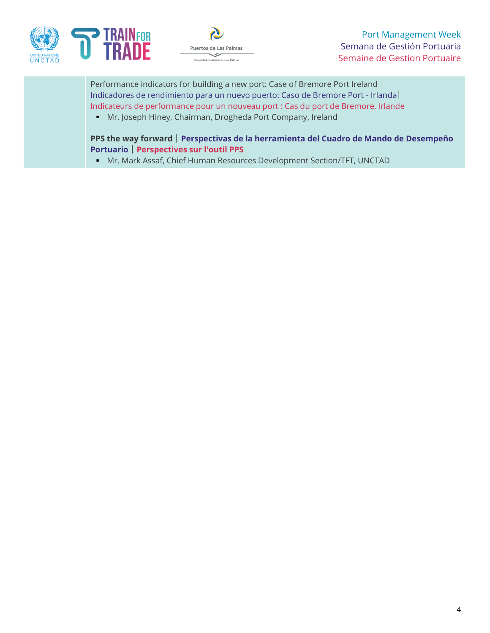



Port Management Week Semana de Gestión Portuaria Semaine de Gestion Portuaire

Performance indicators for building a new port: Case of Bremore Port Ireland | Indicadores de rendimiento para un nuevo puerto: Caso de Bremore Port - Irlanda Indicateurs de performance pour un nouveau port : Cas du port de Bremore, Irlande

▪ Mr. Joseph Hiney, Chairman, Drogheda Port Company, Ireland

**PPS the way forward** ° **Perspectivas de la herramienta del Cuadro de Mando de Desempeño Portuario** | **Perspectives sur l'outil PPS** 

▪ Mr. Mark Assaf, Chief Human Resources Development Section/TFT, UNCTAD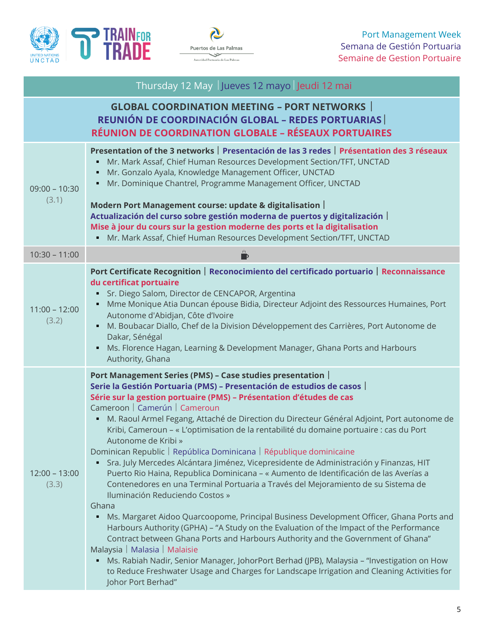



|                          | Thursday 12 May Jueves 12 mayo Jeudi 12 mai                                                                                                                                                                                                                                                                                                                                                                                                                                                                                                                                                                                                                                                                                                                                                                                                                                                                                                                                                                                                                                                                                                                                                                                                                                                                                                                                                            |
|--------------------------|--------------------------------------------------------------------------------------------------------------------------------------------------------------------------------------------------------------------------------------------------------------------------------------------------------------------------------------------------------------------------------------------------------------------------------------------------------------------------------------------------------------------------------------------------------------------------------------------------------------------------------------------------------------------------------------------------------------------------------------------------------------------------------------------------------------------------------------------------------------------------------------------------------------------------------------------------------------------------------------------------------------------------------------------------------------------------------------------------------------------------------------------------------------------------------------------------------------------------------------------------------------------------------------------------------------------------------------------------------------------------------------------------------|
|                          | <b>GLOBAL COORDINATION MEETING - PORT NETWORKS</b><br><b>REUNIÓN DE COORDINACIÓN GLOBAL - REDES PORTUARIAS</b><br>RÉUNION DE COORDINATION GLOBALE - RÉSEAUX PORTUAIRES                                                                                                                                                                                                                                                                                                                                                                                                                                                                                                                                                                                                                                                                                                                                                                                                                                                                                                                                                                                                                                                                                                                                                                                                                                 |
| $09:00 - 10:30$<br>(3.1) | Presentation of the 3 networks   Presentación de las 3 redes   Présentation des 3 réseaux<br>Mr. Mark Assaf, Chief Human Resources Development Section/TFT, UNCTAD<br>Mr. Gonzalo Ayala, Knowledge Management Officer, UNCTAD<br>Е<br>Mr. Dominique Chantrel, Programme Management Officer, UNCTAD<br>٠<br>Modern Port Management course: update & digitalisation  <br>Actualización del curso sobre gestión moderna de puertos y digitalización  <br>Mise à jour du cours sur la gestion moderne des ports et la digitalisation<br>Mr. Mark Assaf, Chief Human Resources Development Section/TFT, UNCTAD<br>٠                                                                                                                                                                                                                                                                                                                                                                                                                                                                                                                                                                                                                                                                                                                                                                                         |
| $10:30 - 11:00$          |                                                                                                                                                                                                                                                                                                                                                                                                                                                                                                                                                                                                                                                                                                                                                                                                                                                                                                                                                                                                                                                                                                                                                                                                                                                                                                                                                                                                        |
| $11:00 - 12:00$<br>(3.2) | Port Certificate Recognition   Reconocimiento del certificado portuario   Reconnaissance<br>du certificat portuaire<br>Sr. Diego Salom, Director de CENCAPOR, Argentina<br>٠<br>Mme Monique Atia Duncan épouse Bidia, Directeur Adjoint des Ressources Humaines, Port<br>٠<br>Autonome d'Abidjan, Côte d'Ivoire<br>M. Boubacar Diallo, Chef de la Division Développement des Carrières, Port Autonome de<br>Dakar, Sénégal<br>Ms. Florence Hagan, Learning & Development Manager, Ghana Ports and Harbours<br>٠<br>Authority, Ghana                                                                                                                                                                                                                                                                                                                                                                                                                                                                                                                                                                                                                                                                                                                                                                                                                                                                    |
| $12:00 - 13:00$<br>(3.3) | Port Management Series (PMS) - Case studies presentation  <br>Serie la Gestión Portuaria (PMS) - Presentación de estudios de casos<br>Série sur la gestion portuaire (PMS) - Présentation d'études de cas<br>Cameroon   Camerún   Cameroun<br>M. Raoul Armel Fegang, Attaché de Direction du Directeur Général Adjoint, Port autonome de<br>٠<br>Kribi, Cameroun - « L'optimisation de la rentabilité du domaine portuaire : cas du Port<br>Autonome de Kribi »<br>Dominican Republic   República Dominicana   République dominicaine<br>Sra. July Mercedes Alcántara Jiménez, Vicepresidente de Administración y Finanzas, HIT<br>٠<br>Puerto Rio Haina, Republica Dominicana - « Aumento de Identificación de las Averías a<br>Contenedores en una Terminal Portuaria a Través del Mejoramiento de su Sistema de<br>Iluminación Reduciendo Costos »<br>Ghana<br>Ms. Margaret Aidoo Quarcoopome, Principal Business Development Officer, Ghana Ports and<br>٠<br>Harbours Authority (GPHA) - "A Study on the Evaluation of the Impact of the Performance<br>Contract between Ghana Ports and Harbours Authority and the Government of Ghana"<br>Malaysia   Malasia   Malaisie<br>Ms. Rabiah Nadir, Senior Manager, JohorPort Berhad (JPB), Malaysia - "Investigation on How<br>٠<br>to Reduce Freshwater Usage and Charges for Landscape Irrigation and Cleaning Activities for<br>Johor Port Berhad" |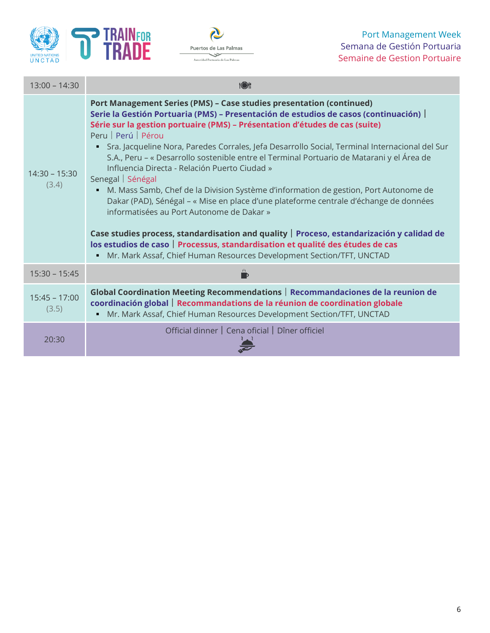



| $13:00 - 14:30$          | <b>TOP</b>                                                                                                                                                                                                                                                                                                                                                                                                                                                                                                                                                                                                                                                                                                                                                                                                                                                                                                                                                                                                                               |  |
|--------------------------|------------------------------------------------------------------------------------------------------------------------------------------------------------------------------------------------------------------------------------------------------------------------------------------------------------------------------------------------------------------------------------------------------------------------------------------------------------------------------------------------------------------------------------------------------------------------------------------------------------------------------------------------------------------------------------------------------------------------------------------------------------------------------------------------------------------------------------------------------------------------------------------------------------------------------------------------------------------------------------------------------------------------------------------|--|
| $14:30 - 15:30$<br>(3.4) | Port Management Series (PMS) - Case studies presentation (continued)<br>Serie la Gestión Portuaria (PMS) – Presentación de estudios de casos (continuación)  <br>Série sur la gestion portuaire (PMS) - Présentation d'études de cas (suite)<br>Peru   Perú   Pérou<br>Sra. Jacqueline Nora, Paredes Corrales, Jefa Desarrollo Social, Terminal Internacional del Sur<br>٠<br>S.A., Peru – « Desarrollo sostenible entre el Terminal Portuario de Matarani y el Área de<br>Influencia Directa - Relación Puerto Ciudad »<br>Senegal   Sénégal<br>M. Mass Samb, Chef de la Division Système d'information de gestion, Port Autonome de<br>Dakar (PAD), Sénégal - « Mise en place d'une plateforme centrale d'échange de données<br>informatisées au Port Autonome de Dakar »<br>Case studies process, standardisation and quality   Proceso, estandarización y calidad de<br>los estudios de caso   Processus, standardisation et qualité des études de cas<br>Mr. Mark Assaf, Chief Human Resources Development Section/TFT, UNCTAD<br>٠ |  |
| $15:30 - 15:45$          |                                                                                                                                                                                                                                                                                                                                                                                                                                                                                                                                                                                                                                                                                                                                                                                                                                                                                                                                                                                                                                          |  |
| $15:45 - 17:00$<br>(3.5) | Global Coordination Meeting Recommendations   Recommandaciones de la reunion de<br>coordinación global   Recommandations de la réunion de coordination globale<br>Mr. Mark Assaf, Chief Human Resources Development Section/TFT, UNCTAD                                                                                                                                                                                                                                                                                                                                                                                                                                                                                                                                                                                                                                                                                                                                                                                                  |  |
| 20:30                    | Official dinner   Cena oficial   Dîner officiel                                                                                                                                                                                                                                                                                                                                                                                                                                                                                                                                                                                                                                                                                                                                                                                                                                                                                                                                                                                          |  |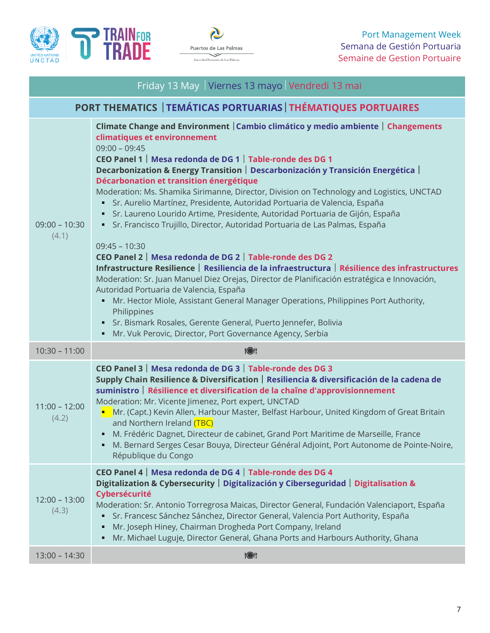



| Friday 13 May   Viernes 13 mayo   Vendredi 13 mai              |                                                                                                                                                                                                                                                                                                                                                                                                                                                                                                                                                                                                                                                                                                                                                                                                                                                                                                                                                                                                                                                                                                                                                                                                                                                              |  |
|----------------------------------------------------------------|--------------------------------------------------------------------------------------------------------------------------------------------------------------------------------------------------------------------------------------------------------------------------------------------------------------------------------------------------------------------------------------------------------------------------------------------------------------------------------------------------------------------------------------------------------------------------------------------------------------------------------------------------------------------------------------------------------------------------------------------------------------------------------------------------------------------------------------------------------------------------------------------------------------------------------------------------------------------------------------------------------------------------------------------------------------------------------------------------------------------------------------------------------------------------------------------------------------------------------------------------------------|--|
| PORT THEMATICS   TEMÁTICAS PORTUARIAS   THÉMATIQUES PORTUAIRES |                                                                                                                                                                                                                                                                                                                                                                                                                                                                                                                                                                                                                                                                                                                                                                                                                                                                                                                                                                                                                                                                                                                                                                                                                                                              |  |
| $09:00 - 10:30$<br>(4.1)                                       | Climate Change and Environment   Cambio climático y medio ambiente   Changements<br>climatiques et environnement<br>$09:00 - 09:45$<br>CEO Panel 1   Mesa redonda de DG 1   Table-ronde des DG 1<br>Decarbonization & Energy Transition   Descarbonización y Transición Energética  <br>Décarbonation et transition énergétique<br>Moderation: Ms. Shamika Sirimanne, Director, Division on Technology and Logistics, UNCTAD<br>· Sr. Aurelio Martínez, Presidente, Autoridad Portuaria de Valencia, España<br>· Sr. Laureno Lourido Artime, Presidente, Autoridad Portuaria de Gijón, España<br>• Sr. Francisco Trujillo, Director, Autoridad Portuaria de Las Palmas, España<br>$09:45 - 10:30$<br>CEO Panel 2   Mesa redonda de DG 2   Table-ronde des DG 2<br>Infrastructure Resilience   Resiliencia de la infraestructura   Résilience des infrastructures<br>Moderation: Sr. Juan Manuel Diez Orejas, Director de Planificación estratégica e Innovación,<br>Autoridad Portuaria de Valencia, España<br>• Mr. Hector Miole, Assistant General Manager Operations, Philippines Port Authority,<br>Philippines<br>Sr. Bismark Rosales, Gerente General, Puerto Jennefer, Bolivia<br>٠<br>Mr. Vuk Perovic, Director, Port Governance Agency, Serbia<br>٠ |  |
|                                                                |                                                                                                                                                                                                                                                                                                                                                                                                                                                                                                                                                                                                                                                                                                                                                                                                                                                                                                                                                                                                                                                                                                                                                                                                                                                              |  |
| $10:30 - 11:00$                                                | <b>1011</b>                                                                                                                                                                                                                                                                                                                                                                                                                                                                                                                                                                                                                                                                                                                                                                                                                                                                                                                                                                                                                                                                                                                                                                                                                                                  |  |
| $11:00 - 12:00$<br>(4.2)                                       | CEO Panel 3   Mesa redonda de DG 3   Table-ronde des DG 3<br>Supply Chain Resilience & Diversification   Resiliencia & diversificación de la cadena de<br>suministro   Résilience et diversification de la chaîne d'approvisionnement<br>Moderation: Mr. Vicente Jimenez, Port expert, UNCTAD<br>Mr. (Capt.) Kevin Allen, Harbour Master, Belfast Harbour, United Kingdom of Great Britain<br>and Northern Ireland (TBC)<br>• M. Frédéric Dagnet, Directeur de cabinet, Grand Port Maritime de Marseille, France<br>M. Bernard Serges Cesar Bouya, Directeur Général Adjoint, Port Autonome de Pointe-Noire,<br>٠<br>République du Congo                                                                                                                                                                                                                                                                                                                                                                                                                                                                                                                                                                                                                     |  |
| $12:00 - 13:00$<br>(4.3)                                       | CEO Panel 4   Mesa redonda de DG 4   Table-ronde des DG 4<br>Digitalization & Cybersecurity   Digitalización y Ciberseguridad   Digitalisation &<br>Cybersécurité<br>Moderation: Sr. Antonio Torregrosa Maicas, Director General, Fundación Valenciaport, España<br>Sr. Francesc Sánchez Sánchez, Director General, Valencia Port Authority, España<br>Mr. Joseph Hiney, Chairman Drogheda Port Company, Ireland<br>Mr. Michael Luguje, Director General, Ghana Ports and Harbours Authority, Ghana                                                                                                                                                                                                                                                                                                                                                                                                                                                                                                                                                                                                                                                                                                                                                          |  |